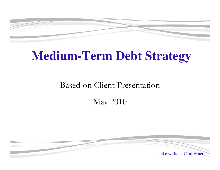

# **Medium-Term Debt Strategy**

#### Based on Client Presentation

#### May 2010

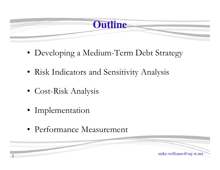**Outline**

mike.williams@mj-w.net

- Developing a Medium-Term Debt Strategy
- Risk Indicators and Sensitivity Analysis
- Cost-Risk Analysis
- Implementation

2

• Performance Measurement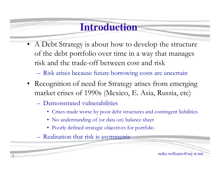# **Introduction**

• A Debt Strategy is about how to develop the structure of the debt portfolio over time in a way that manages risk and the trade-off between cost and risk

–Risk arises because future borrowing costs are uncertain

- Recognition of need for Strategy arises from emerging market crises of 1990s (Mexico, E. Asia, Russia, etc)
	- **Hart Committee Committee**  Demonstrated vulnerabilities
		- Crises made worse by poor debt structures and contingent liabilities
		- No understanding of (or data on) balance sheet
		- Poorly defined strategic objectives for portfolio
	- –Realisation that risk is asymmetric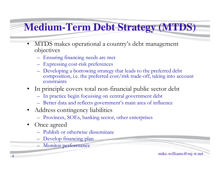# **Medium-Term Debt Strategy (MTDS)**

- $\bullet$  MTDS makes operational a country's debt management objectives
	- Ensuring financing needs are met
	- Expressing cost-risk preferences
	- Developing a borrowing strategy that leads to the preferred debt<br>composition, i.e. the preferred cost/risk trade off, taking into acc composition, i.e. the preferred cost/risk trade-off, taking into account constraints
- • In principle covers total non-financial public sector debt
	- In practice begin focussing on central government debt
	- Better data and reflects government's main area of influence
- $\bullet$  Address contingency liabilities
	- Provinces, SOEs, banking sector, other enterprises
- • Once agreed
	- Publish or otherwise disseminate
	- Develop financing plan
	- Monitor performance

mike.williams@mj-w.net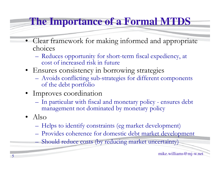# **The Importance of a Formal MTDS**

- Clear framework for making informed and appropriate choices
	- Reduces opportunity for short-term fiscal expediency, at<br>cost of increased risk in future cost of increased risk in future
- Ensures consistency in borrowing strategies
	- **Hart Committee Committee** Avoids conflicting sub-strategies for different components<br>of the debt portfolio of the debt portfolio
- Improves coordination
	- **Hart Committee Committee** In particular with fiscal and monetary policy - ensures debt<br>management not dominated by monetary policy management not dominated by monetary policy
- Also
	- –Helps to identify constraints (eg market development)
	- –Provides coherence for domestic debt market development
	- **Line Communication** Should reduce costs (by reducing market uncertainty)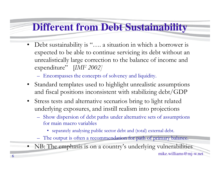# **Different from Debt Sustainability**

- $\bullet$ Debt sustainability is ".... a situation in which a borrower is expected to be able to continue servicing its debt without an unrealistically large correction to the balance of income and expenditure" [*IMF 2002]*
	- Encompasses the concepts of solvency and liquidity.
- Standard templates used to highlight unrealistic assumptions and fiscal positions inconsistent with stabilizing debt/GDP
- Stress tests and alternative scenarios bring to light related underlying exposures, and instill realism into projections
	- Show dispersion of debt paths under alternative sets of assumptions for main macro variables
		- separately analysing public sector debt and (total) external debt.
	- The output is often a recommendation for path of primary balance.
- NB: The emphasis is on a country's underlying vulnerabilities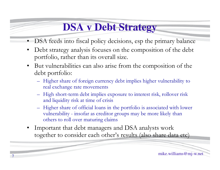# **DSA v Debt Strategy**

- •DSA feeds into fiscal policy decisions, esp the primary balance
- • Debt strategy analysis focuses on the composition of the debt portfolio, rather than its overall size.
- $\bullet$  But vulnerabilities can also arise from the composition of the debt portfolio:
	- Higher share of foreign currency debt implies higher vulnerability to real exchange rate movements
	- High short-term debt implies exposure to interest risk, rollover risk and liquidity risk at time of crisis
	- Higher share of official loans in the portfolio is associated with lower vulnerability - insofar as creditor groups may be more likely than others to roll over maturing claims
- • Important that debt managers and DSA analysts work together to consider each other's results (also share data etc)

7

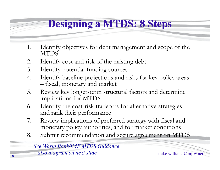# **Designing a MTDS: 8 Steps**

- 1. Identify objectives for debt management and scope of the MTDS
- 2. Identify cost and risk of the existing debt
- 3. Identify potential funding sources<br>4. Identify baseline projections and r
- Identify baseline projections and risks for key policy areas fiscal, monetary and market
- 5. Review key longer-term structural factors and determine implications for MTDS
- 6. Identify the cost-risk tradeoffs for alternative strategies, and rank their performance
- 7. Review implications of preferred strategy with fiscal and<br>monetary policy authorities, and for market conditions monetary policy authorities, and for market conditions
- 8. Submit recommendation and secure agreement on MTDS

*See World Bank/IMF MTDS Guidance* 

also diagram on next slide mike.williams@mj-w.net  *also diagram on next slide*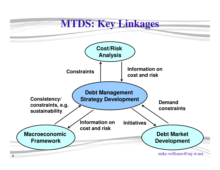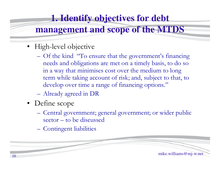#### **1. Identify objectives for debt**

#### **management and scope of the MTDS**

- High-level objective
	- – Of the kind "To ensure that the government's financing needs and obligations are met on a timely basis, to do so in a way that minimises cost over the medium to long term while taking account of risk; and, subject to that, to develop over time a range of financing options."
	- –Already agreed in DR
- Define scope
	- – Central government; general government; or wider public sector – to be discussed
	- **Hart Committee Committee** Contingent liabilities

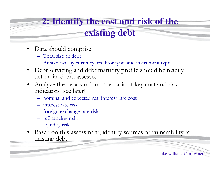# **2: Identify the cost and risk of the**

# **existing debt**

- • Data should comprise:
	- Total size of debt
	- Breakdown by currency, creditor type, and instrument type
- Debt servicing and debt maturity profile should be readily<br>determined and assessed determined and assessed
- Analyze the debt stock on the basis of key cost and risk •indicators [see later]
	- nominal and expected real interest rate cost
	- interest rate risk
	- foreign exchange rate risk
	- refinancing risk.
	- liquidity risk

11

• Based on this assessment, identify sources of vulnerability to existing debt

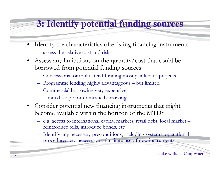#### **3: Identify potential funding sources**

- • Identify the characteristics of existing financing instruments
	- assess the relative cost and risk
- $\bullet$  Assess any limitations on the quantity/cost that could be borrowed from potential funding sources:
	- Concessional or multilateral funding mostly linked to projects
	- Programme lending highly advantageous but limited
	- Commercial borrowing very expensive
	- Limited scope for domestic borrowing
- Consider potential new financing instruments that might become available within the horizon of the MTDS
	- e.g. access to international capital markets, retail debt, local market reintroduce bills, introduce bonds, etc
	- – Identify any necessary preconditions, including systems, operational procedures, etc necessary to facilitate use of new instruments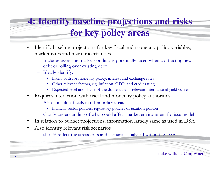# **4: Identify baseline projections and risks for key policy areas**

- $\bullet$  Identify baseline projections for key fiscal and monetary policy variables, market rates and main uncertainties
	- Includes assessing market conditions potentially faced when contracting new debt or rolling over existing debt
	- Ideally identify:
		- Likely path for monetary policy, interest and exchange rates
		- Other relevant factors, e.g. inflation, GDP, and credit rating
		- Expected level and shape of the domestic and relevant international yield curves
- • Requires interaction with fiscal and monetary policy authorities
	- Also consult officials in other policy areas
		- financial sector policies, regulatory policies or taxation policies
	- Clarify understanding of what could affect market environment for issuing debt
- $\bullet$ In relation to budget projections, information largely same as used in DSA
- • Also identify relevant risk scenarios
	- –should reflect the stress tests and scenarios analyzed within the DSA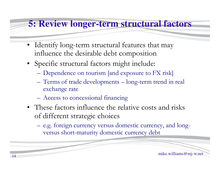#### **5: Review longer-term structural factors**

- Identify long-term structural features that may influence the desirable debt composition
- Specific structural factors might include:
	- –Dependence on tourism [and exposure to FX risk]
	- **Hart Committee Committee** – Terms of trade developments **Hart Committee Committee** – long-term trend in real exchange rate
	- Access to concessional financing
- These factors influence the relative costs and risks of different strategic choices
	- –e.g. foreign currency versus domestic currency, and longversus short-maturity domestic currency debt

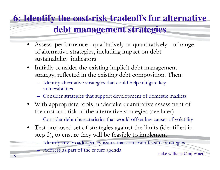# **6: Identify the cost-risk tradeoffs for alternativedebt management strategies**

- Assess performance qualitatively or quantitatively of range of alternative strategies, including impact on debt sustainability indicators
- $\bullet$  Initially consider the existing implicit debt management strategy, reflected in the existing debt composition. Then:
	- Identify alternative strategies that could help mitigate key vulnerabilities
	- Consider strategies that support development of domestic markets
- With appropriate tools, undertake quantitative assessment of the cost and risk of the alternative strategies (see later)
	- Consider debt characteristics that would offset key causes of volatility
- $\bullet$  Test proposed set of strategies against the limits (identified in step 3), to ensure they will be feasible to implement
	- Identify any broader policy issues that constrain feasible strategies
	- Address as part of the future agenda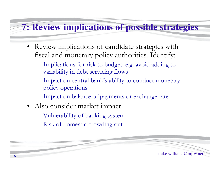#### **7: Review implications of possible strategies**

- Review implications of candidate strategies with fiscal and monetary policy authorities. Identify:
	- **Hart Committee Committee** Implications for risk to budget: e.g. avoid adding to variability in debt servicing flows
	- –Impact on central bank's ability to conduct monetary policy operations
	- –Impact on balance of payments or exchange rate
- Also consider market impact
	- –Vulnerability of banking system
	- Risk of domestic crowding out

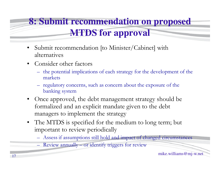# **8: Submit recommendation on proposed MTDS for approval**

- $\bullet$  Submit recommendation [to Minister/Cabinet] with alternatives
- • Consider other factors
	- the potential implications of each strategy for the development of the markets
	- regulatory concerns, such as concern about the exposure of the banking system
- Once approved, the debt management strategy should be<br>formalized and an explicit mandate circa to the debt. •formalized and an explicit mandate given to the debt managers to implement the strategy
- The MTDS is specified for the medium to long term; but important to review periodically
	- Assess if assumptions still hold and impact of changed circumstances
	- Review annually or identify triggers for review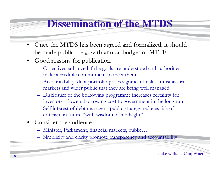# **Dissemination of the MTDS**

- • Once the MTDS has been agreed and formalized, it should be made public – e.g. with annual budget or MTFF
- $\bullet$  Good reasons for publication
	- Objectives enhanced if the goals are understood and authorities make a credible commitment to meet them
	- $-$  Accountability debt porttolio poses sioni Accountability: debt portfolio poses significant risks - must assure markets and wider public that they are being well managed
	- Disclosure of the borrowing programme increases certainty for investors – lowers borrowing cost to government in the long run
	- Self interest of debt managers: public strategy reduces risk of criticism in future "with wisdom of hindsight"
- $\bullet$  Consider the audience
	- –Minister, Parliament, financial markets, public….
	- Simplicity and clarity promote transparency and accountability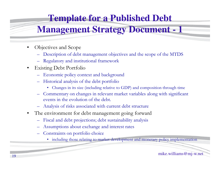#### **Template for a Published Debt**

#### **Management Strategy Document - 1**

- $\bullet$  Objectives and Scope
	- –Description of debt management objectives and the scope of the MTDS
	- Regulatory and institutional framework
- $\bullet$  Existing Debt Portfolio
	- –Economic policy context and background
	- Historical analysis of the debt portfolio
		- Changes in its size (including relative to GDP) and composition through time
	- – Commentary on changes in relevant market variables along with significant events in the evolution of the debt.
	- –Analysis of risks associated with current debt structure
- $\bullet$  The environment for debt management going forward
	- –Fiscal and debt projections; debt sustainability analysis
	- –Assumptions about exchange and interest rates
	- Constraints on portfolio choice
		- including those relating to market development and monetary policy implementation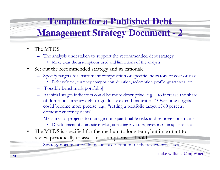#### **Template for a Published Debt**

#### **Management Strategy Document - 2**

- • The MTDS
	- – The analysis undertaken to support the recommended debt strategy
		- Make clear the assumptions used and limitations of the analysis
- $\bullet$  Set out the recommended strategy and its rationale
	- Specify targets for instrument composition or specific indicators of cost or risk
		- Debt volume, currency composition, duration, redemption profile, guarantees, etc
	- –[Possible benchmark portfolio]
	- –At initial stages indicators could be more descriptive, e.g., "to increase the share of domestic currency debt or gradually extend maturities." Over time targets could become more precise, e.g., "setting a portfolio target of 60 percent domestic currency debts"
	- – Measures or projects to manage non-quantifiable risks and remove constraints
		- Development of domestic market, attracting investors, investment in systems, etc
- • The MTDS is specified for the medium to long term; but important to review periodically to assess if assumptions still hold

– Strategy document could include a description of the review processes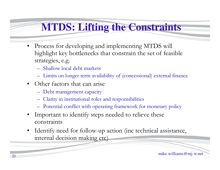# **MTDS: Lifting the Constraints**

- $\bullet$  Process for developing and implementing MTDS will highlight key bottlenecks that constrain the set of feasible strategies, e.g.
	- Shallow local debt markets
	- Limits on longer term availability of (concessional) external finance
- Other factors that can arise
	- Debt management capacity
	- Clarity in institutional roles and responsibilities
	- Potential conflict with operating framework for monetary policy
- • Important to identify steps needed to relieve these constraints
- $\bullet$  Identify need for follow-up action (inc technical assistance, internal decision making etc)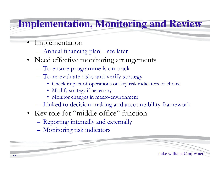# **Implementation, Monitoring and Review**

• Implementation

22

- Annual financing plan see later
- Need effective monitoring arrangements
	- **Hart Committee Committee** To ensure programme is on-track
	- **Hart Committee Committee** To re-evaluate risks and verify strategy
		- Check impact of operations on key risk indicators of choice
		- Modify strategy if necessary
		- Monitor changes in macro-environment
	- Linked to decision-making and accountability framework

mike.williams@mj-w.net

- Key role for "middle office" function
	- **Hart Committee Committee** Reporting internally and externally
	- **Hart Committee Committee** Monitoring risk indicators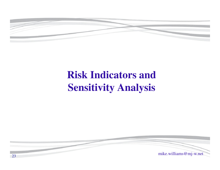

# **Risk Indicators and Sensitivity Analysis**

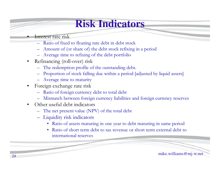# **Risk Indicators**

#### Interest rate risk

•

- Ratio of fixed to floating rate debt in debt stock
- –Amount of (or share of) the debt stock refixing in a period
- –Average time to refixing of the debt portfolio
- $\bullet$  Refinancing (roll-over) risk
	- –The redemption profile of the outstanding debt.
	- –Proportion of stock falling due within a period [adjusted by liquid assets]
	- Average time to maturity
- • Foreign exchange rate risk
	- –Ratio of foreign currency debt to total debt
	- –Mismatch between foreign currency liabilities and foreign currency reserves
- $\bullet$  Other useful debt indicators
	- –The net present value (NPV) of the total debt
	- Liquidity risk indicators
		- Ratio of assets maturing in one year to debt maturing in same period
		- • Ratio of short term debt to tax revenue or short term external debt to international reserves

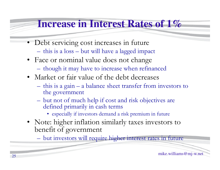#### **Increase in Interest Rates of 1%**

- Debt servicing cost increases in future
	- this is a loss but will have a lagged impact
- Face or nominal value does not change
	- **Hart Committee Committee** though it may have to increase when refinanced
- Market or fair value of the debt decreases
	- – $-$  this is a gain – a balance sheet transfer from investors to the government
	- **Hart Committee Committee** but not of much help if cost and risk objectives are<br>defined primarily in cash terms defined primarily in cash terms
		- especially if investors demand a risk premium in future
- Note: higher inflation similarly taxes investors to<br>benefit of covernment benefit of government

–but investors will require higher interest rates in future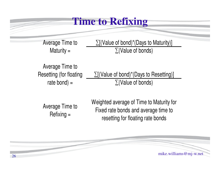#### **Time to Refixing**

Average Time to Maturity =

 $\Sigma$ [(Value of bond)\*(Days to Maturity)] ∑(Value of bonds)

Average Time to Resetting (for floating rate bond) =

∑[(Value of bond)\*(Days to Resetting)] <sup>∑</sup>(Value of bonds)

Average Time to Refixing =

Weighted average of Time to Maturity for Fixed rate bonds and average time to resetting for floating rate bonds

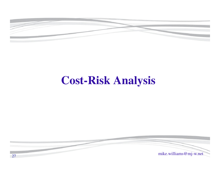

# **Cost-Risk Analysis**

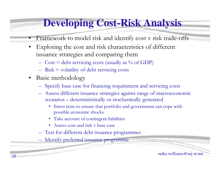# **Developing Cost-Risk Analysis**

- •Framework to model risk and identify cost v risk trade-offs
- • Exploring the cost and risk characteristics of different issuance strategies and comparing them
	- $\equiv$  1 ost  $\equiv$  debt setwicing costs (usually as  $\%$  $Cost = debt$  servicing costs (usually as % of GDP)
	- Risk = volatility of debt servicing costs
- • Basic methodology
	- Specify base case for financing requirement and servicing costs
	- Assess different issuance strategies against range of macroeconomic scenarios – deterministically or stochastically generated
		- Stress tests to ensure that portfolio and government can cope with possible economic shocks
		- Take account of contingent liabilities
		- Assess cost and risk v base case
	- Test for different debt issuance programmes
	- Identify preferred issuance programme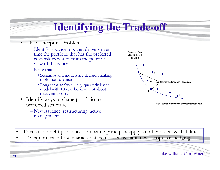# **Identifying the Trade-off**

- • The Conceptual Problem
	- Identify issuance mix that delivers over<br>time the portfolio that has the preferred time the portfolio that has the preferred cost-risk trade-off from the point of view of the issuer
	- Note that
		- Scenarios and models are decision making<br>tools, not forecasts tools, not forecasts
		- Long term analysis e.g. quarterly based model with 10 year horizon; not about next year's costs
- • Identify ways to shape portfolio to preferred structure
	- New issuance, restructuring, active management



- •Focus is on debt portfolio – but same principles apply to other assets & liabilities
- => explore cash flow characteristics of assets & liabilities scope for hedging

•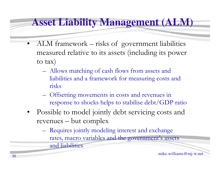#### **Asset Liability Management (ALM)**

- • ALM framework – risks of government liabilities measured relative to its assets (including its power to tax)
	- –Allows matching of cash flows from assets and liabilities and a framework for measuring costs and risks
	- $\mathcal{L}_{\mathcal{A}}$ Offsetting movements in costs and revenues in response to shocks helps to stabilise debt/GDP ratio
- • Possible to model jointly debt servicing costs and revenues – but complex
	- $\mathcal{L}_{\mathcal{A}}$ Requires jointly modeling interest and exchange rates, macro variables and the government's assets and liabilities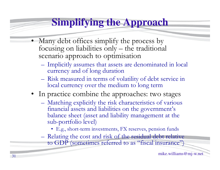# **Simplifying the Approach**

- • Many debt offices simplify the process by focusing on liabilities only – the traditional scenario approach to optimisation
	- **Hart Committee Committee** Implicitly assumes that assets are denominated in local<br>currency and of long duration currency and of long duration
	- –Risk measured in terms of volatility of debt service in<br>local currency over the medium to long term local currency over the medium to long term
- In practice combine the approaches: two stages
	- **Hart Committee Committee** Matching explicitly the risk characteristics of various<br>financial assets and liabilities on the covernment's financial assets and liabilities on the government's balance sheet (asset and liability management at the sub-portfolio level)
		- E.g., short-term investments, FX reserves, pension funds
	- –Relating the cost and risk of the residual debt relative<br>to GDP (sometimes referred to as "fiscal insurance") to GDP (sometimes referred to as "fiscal insurance")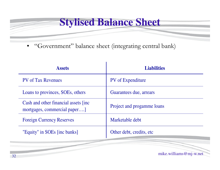#### **Stylised Balance Sheet**

 $\bullet$ "Government" balance sheet (integrating central bank)

| <b>Assets</b>                                                        | <b>Liabilities</b>         |  |
|----------------------------------------------------------------------|----------------------------|--|
| <b>PV</b> of Tax Revenues                                            | <b>PV</b> of Expenditure   |  |
| Loans to provinces, SOEs, others                                     | Guarantees due, arrears    |  |
| Cash and other financial assets finc<br>mortgages, commercial paper] | Project and progamme loans |  |
| <b>Foreign Currency Reserves</b>                                     | Marketable debt            |  |
| "Equity" in SOEs [inc banks]                                         | Other debt, credits, etc.  |  |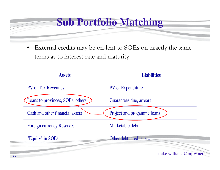

 $\bullet$  External credits may be on-lent to SOEs on exactly the same terms as to interest rate and maturity

| <b>Assets</b>                    | <b>Liabilities</b>         |  |
|----------------------------------|----------------------------|--|
| <b>PV</b> of Tax Revenues        | <b>PV</b> of Expenditure   |  |
| Loans to provinces, SOEs, others | Guarantees due, arrears    |  |
| Cash and other financial assets  | Project and progamme loans |  |
| <b>Foreign currency Reserves</b> | Marketable debt            |  |
| "Equity" in SOEs                 | Other debt, credits, etc.  |  |
|                                  |                            |  |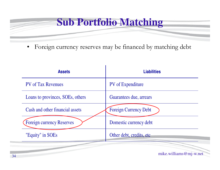# **Sub Portfolio Matching**

•Foreign currency reserves may be financed by matching debt

| <b>Assets</b>                    | <b>Liabilities</b>           |  |
|----------------------------------|------------------------------|--|
| <b>PV</b> of Tax Revenues        | PV of Expenditure            |  |
| Loans to provinces, SOEs, others | Guarantees due, arrears      |  |
| Cash and other financial assets  | <b>Foreign Currency Debt</b> |  |
| <b>Foreign currency Reserves</b> | Domestic currency debt       |  |
| "Equity" in SOEs                 | Other debt, credits, etc.    |  |
|                                  |                              |  |
|                                  | mike.williams@mj-w.net       |  |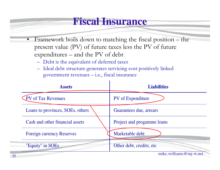#### **Fiscal Insurance**

- • Framework boils down to matching the fiscal position – the present value (PV) of future taxes less the PV of future expenditures – and the PV of debt
	- Debt is the equivalent of deferred taxes
	- Ideal debt structure generates servicing cost positively linked government revenues – i.e., fiscal insurance

| <b>Assets</b>                    | <b>Liabilities</b>         |
|----------------------------------|----------------------------|
| PV of Tax Revenues               | <b>PV</b> of Expenditure   |
| Loans to provinces, SOEs, others | Guarantees due, arrears    |
| Cash and other financial assets  | Project and progamme loans |
| <b>Foreign currency Reserves</b> | Marketable debt            |
| "Equity" in SOEs                 | Other debt, credits, etc.  |
|                                  | mike.williams@mj-w.net     |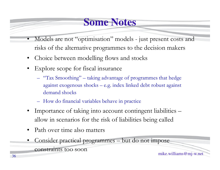# **Some Notes**

- • Models are not "optimisation" models - just present costs and risks of the alternative programmes to the decision makers
- •Choice between modelling flows and stocks
- • Explore scope for fiscal insurance
	- "Tax Smoothing" taking advantage of programmes that hedge against exogenous shocks – e.g. index linked debt robust against demand shocks
	- How do financial variables behave in practice
- • Importance of taking into account contingent liabilities – allow in scenarios for the risk of liabilities being called
- •Path over time also matters
- •Consider practical programmes – but do not impose

constraints too soon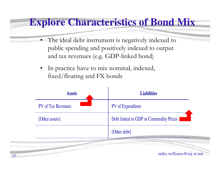#### **Explore Characteristics of Bond Mix**

- • The ideal debt instrument is negatively indexed to public spending and positively indexed to output and tax revenues (e.g. GDP-linked bond)
- • In practice have to mix nominal, indexed, fixed/floating and FX bonds

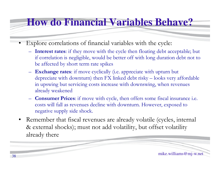#### **How do Financial Variables Behave?**

- • Explore correlations of financial variables with the cycle:
	- **Interest rates**: if they move with the cycle then floating debt acceptable; but if correlation is negligible, would be better off with long duration debt not to be affected by short term rate spikes
	- **Exchange rates**: if move cyclically (i.e. appreciate with upturn but depreciate with downturn) then FX linked debt risky – looks very affordable in upswing but servicing costs increase with downswing, when revenues already weakened
	- **Consumer Prices**: if move with cycle, then offers some fiscal insurance i.e. costs will fall as revenues decline with downturn. However, exposed to negative supply side shock.
- $\bullet$  Remember that fiscal revenues are already volatile (cycles, internal & external shocks); must not add volatility, but offset volatility already there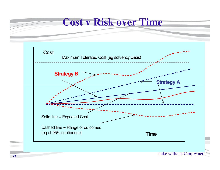#### **Cost v Risk over Time**

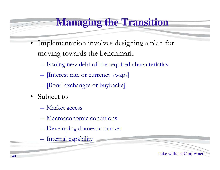# **Managing the Transition**

- • Implementation involves designing a plan for moving towards the benchmark
	- –Issuing new debt of the required characteristics
	- –[Interest rate or currency swaps]
	- **Hart Committee Committee** – [Bond exchanges or buybacks]
- • Subject to
	- –Market access
	- –Macroeconomic conditions
	- **Hart Committee Committee** Developing domestic market
	- Internal capability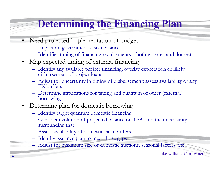# **Determining the Financing Plan**

- • Need projected implementation of budget
	- Impact on government's cash balance
	- Identifies timing of financing requirements both external and domestic
- • Map expected timing of external financing
	- Identify any available project financing; overlay expectation of likely<br>dishursement of project loans disbursement of project loans
	- Adjust for uncertainty in timing of disbursement; assess availability of any<br>EX buffers FX buffers
	- Determine implications for timing and quantum of other (external) borrowing
- $\bullet$  Determine plan for domestic borrowing
	- Identify target quantum domestic financing
	- Consider evolution of projected balance on TSA, and the uncertainty<br>surrounding that surrounding that
	- Assess availability of domestic cash buffers
	- Identify issuance plan to meet those gaps
	- Adjust for maximum size of domestic auctions, seasonal factors, etc.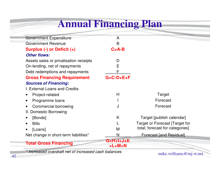# **Annual Financing Plan**

| <b>Government Expenditure</b>          | A                       |                                 |
|----------------------------------------|-------------------------|---------------------------------|
| <b>Government Revenue</b>              | B                       |                                 |
| Surplus (-) or Deficit (+)             | $C = A - B$             |                                 |
| <b>Other flows:</b>                    |                         |                                 |
| Assets sales or privatisation receipts | D                       |                                 |
| On-lending, net of repayments          | Е                       |                                 |
| Debt redemptions and repayments        | F                       |                                 |
| <b>Gross Financing Requirement</b>     | $G=C-D+E+F$             |                                 |
| <b>Sources of Financing:</b>           |                         |                                 |
| I. External Loans and Credits          |                         |                                 |
| Project-related                        | H                       | Target                          |
| Programme loans                        |                         | Forecast                        |
| <b>Commercial borrowing</b>            | J                       | Forecast                        |
| II. Domestic Borrowing                 |                         |                                 |
| [Bonds]                                | K                       | Target [publish calendar]       |
| <b>Bills</b>                           |                         | Target or Forecast [Target for  |
| [Loans]                                | M                       | total; forecast for categories] |
| Net change in short-term liabilities*  | N                       | <b>Forecast [and Residual]</b>  |
| <b>Total Gross Financing</b>           | $G=H+I+J+K$<br>$+L+M+N$ |                                 |

\* Increased overdraft net of increased cash balances

mike.williams@mj-w.net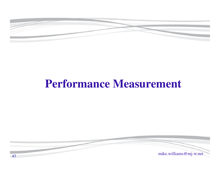

# **Performance Measurement**

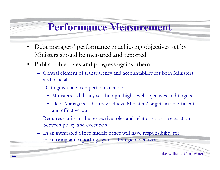#### **Performance Measurement**

- Debt managers' performance in achieving objectives set by Ministers should be measured and reported
- $\bullet$  Publish objectives and progress against them
	- $\Box$  Central element of transparency and accountable Central element of transparency and accountability for both Ministers and officials
	- Distinguish between performance of:
		- Ministers did they set the right high-level objectives and targets
		- Debt Managers did they achieve Ministers' targets in an efficient and effective way
	- Requires clarity in the respective roles and relationships separation between policy and execution
	- – In an integrated office middle office will have responsibility for monitoring and reporting against strategic objectives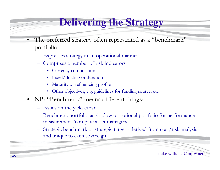# **Delivering the Strategy**

- •The preferred strategy often represented as a "benchmark" portfolio
	- Expresses strategy in an operational manner
	- Comprises a number of risk indicators
		- Currency composition
		- Fixed/floating or duration
		- Maturity or refinancing profile
		- Other objectives, e.g. guidelines for funding source, etc
- NB: "Benchmark" means different things:
	- Issues on the yield curve
	- Benchmark portfolio as shadow or notional portfolio for performance measurement (compare asset managers)
	- Strategic benchmark or strategic target derived from cost/risk analysis and unique to each sovereign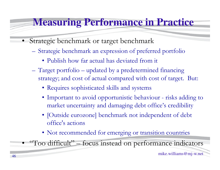#### **Measuring Performance in Practice**

- • Strategic benchmark or target benchmark
	- – Strategic benchmark an expression of preferred portfolio
		- Publish how far actual has deviated from it
	- **Hart Committee Committee**  Target portfolio – updated by a predetermined financing strategy; and cost of actual compared with cost of target. But:
		- Requires sophisticated skills and systems
		- Important to avoid opportunistic behaviour risks adding to market uncertainty and damaging debt office's credibility
		- [Outside eurozone] benchmark not independent of debt office's actions
		- Not recommended for emerging or transition countries

•"Too difficult" – focus instead on performance indicators